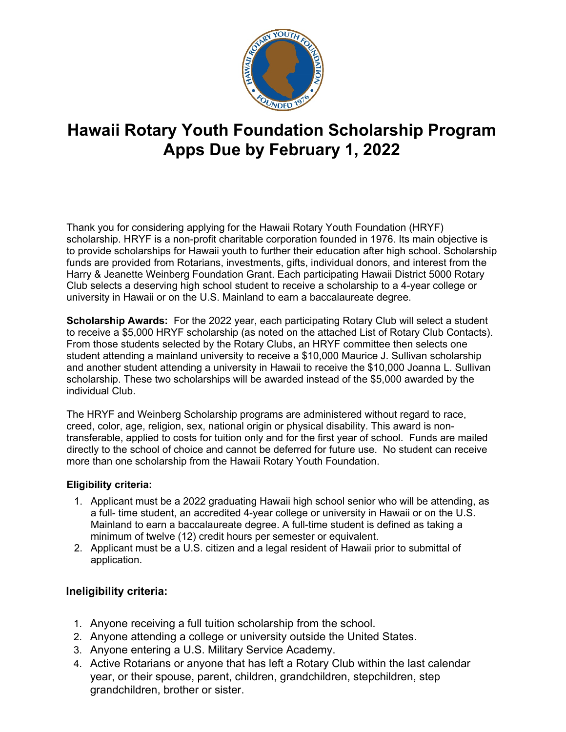

# **Hawaii Rotary Youth Foundation Scholarship Program Apps Due by February 1, 2022**

Thank you for considering applying for the Hawaii Rotary Youth Foundation (HRYF) scholarship. HRYF is a non-profit charitable corporation founded in 1976. Its main objective is to provide scholarships for Hawaii youth to further their education after high school. Scholarship funds are provided from Rotarians, investments, gifts, individual donors, and interest from the Harry & Jeanette Weinberg Foundation Grant. Each participating Hawaii District 5000 Rotary Club selects a deserving high school student to receive a scholarship to a 4-year college or university in Hawaii or on the U.S. Mainland to earn a baccalaureate degree.

**Scholarship Awards:** For the 2022 year, each participating Rotary Club will select a student to receive a \$5,000 HRYF scholarship (as noted on the attached List of Rotary Club Contacts). From those students selected by the Rotary Clubs, an HRYF committee then selects one student attending a mainland university to receive a \$10,000 Maurice J. Sullivan scholarship and another student attending a university in Hawaii to receive the \$10,000 Joanna L. Sullivan scholarship. These two scholarships will be awarded instead of the \$5,000 awarded by the individual Club.

The HRYF and Weinberg Scholarship programs are administered without regard to race, creed, color, age, religion, sex, national origin or physical disability. This award is nontransferable, applied to costs for tuition only and for the first year of school. Funds are mailed directly to the school of choice and cannot be deferred for future use. No student can receive more than one scholarship from the Hawaii Rotary Youth Foundation.

#### **Eligibility criteria:**

- 1. Applicant must be a 2022 graduating Hawaii high school senior who will be attending, as a full- time student, an accredited 4-year college or university in Hawaii or on the U.S. Mainland to earn a baccalaureate degree. A full-time student is defined as taking a minimum of twelve (12) credit hours per semester or equivalent.
- 2. Applicant must be a U.S. citizen and a legal resident of Hawaii prior to submittal of application.

#### **Ineligibility criteria:**

- 1. Anyone receiving a full tuition scholarship from the school.
- 2. Anyone attending a college or university outside the United States.
- 3. Anyone entering a U.S. Military Service Academy.
- 4. Active Rotarians or anyone that has left a Rotary Club within the last calendar year, or their spouse, parent, children, grandchildren, stepchildren, step grandchildren, brother or sister.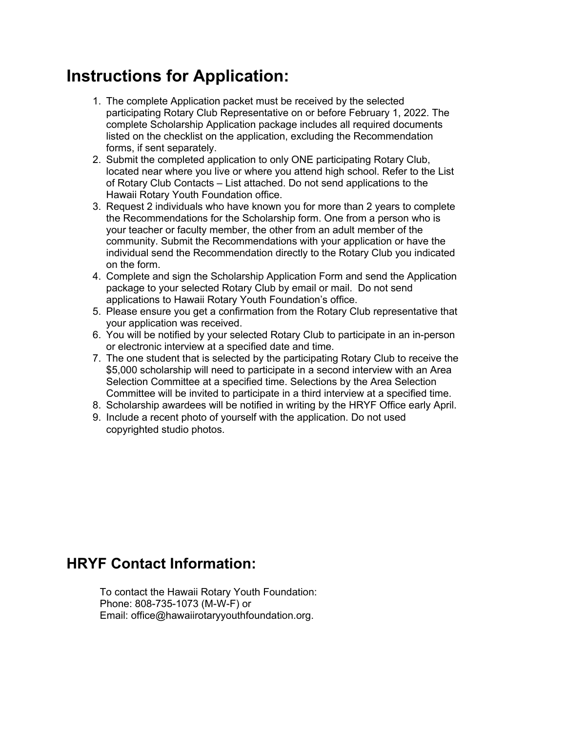# **Instructions for Application:**

- 1. The complete Application packet must be received by the selected participating Rotary Club Representative on or before February 1, 2022. The complete Scholarship Application package includes all required documents listed on the checklist on the application, excluding the Recommendation forms, if sent separately.
- 2. Submit the completed application to only ONE participating Rotary Club, located near where you live or where you attend high school. Refer to the List of Rotary Club Contacts – List attached. Do not send applications to the Hawaii Rotary Youth Foundation office.
- 3. Request 2 individuals who have known you for more than 2 years to complete the Recommendations for the Scholarship form. One from a person who is your teacher or faculty member, the other from an adult member of the community. Submit the Recommendations with your application or have the individual send the Recommendation directly to the Rotary Club you indicated on the form.
- 4. Complete and sign the Scholarship Application Form and send the Application package to your selected Rotary Club by email or mail. Do not send applications to Hawaii Rotary Youth Foundation's office.
- 5. Please ensure you get a confirmation from the Rotary Club representative that your application was received.
- 6. You will be notified by your selected Rotary Club to participate in an in-person or electronic interview at a specified date and time.
- 7. The one student that is selected by the participating Rotary Club to receive the \$5,000 scholarship will need to participate in a second interview with an Area Selection Committee at a specified time. Selections by the Area Selection Committee will be invited to participate in a third interview at a specified time.
- 8. Scholarship awardees will be notified in writing by the HRYF Office early April.
- 9. Include a recent photo of yourself with the application. Do not used copyrighted studio photos.

### **HRYF Contact Information:**

To contact the Hawaii Rotary Youth Foundation: Phone: 808-735-1073 (M-W-F) or Email: office@hawaiirotaryyouthfoundation.org.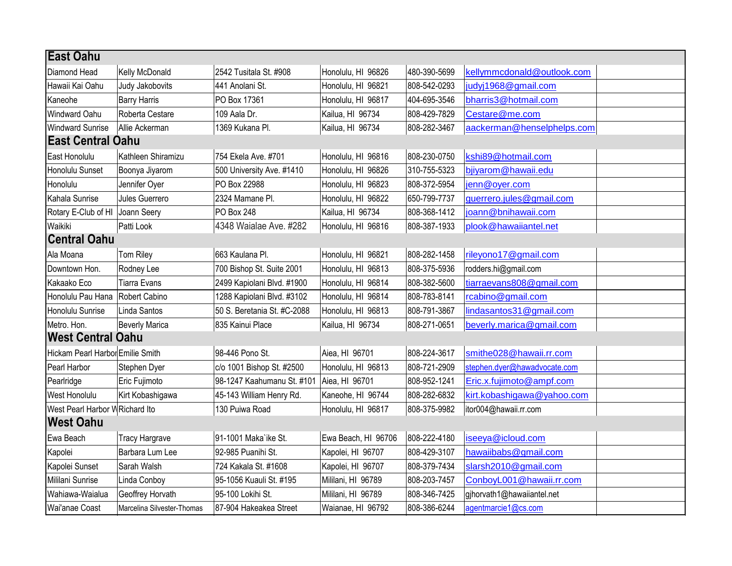| <b>East Oahu</b>                 |                            |                             |                     |              |                              |  |
|----------------------------------|----------------------------|-----------------------------|---------------------|--------------|------------------------------|--|
| Diamond Head                     | Kelly McDonald             | 2542 Tusitala St. #908      | Honolulu, HI 96826  | 480-390-5699 | kellymmcdonald@outlook.com   |  |
| Hawaii Kai Oahu                  | Judy Jakobovits            | 441 Anolani St.             | Honolulu, HI 96821  | 808-542-0293 | judyj1968@gmail.com          |  |
| Kaneohe                          | <b>Barry Harris</b>        | PO Box 17361                | Honolulu, HI 96817  | 404-695-3546 | bharris3@hotmail.com         |  |
| <b>Windward Oahu</b>             | Roberta Cestare            | 109 Aala Dr.                | Kailua, HI 96734    | 808-429-7829 | Cestare@me.com               |  |
| <b>Windward Sunrise</b>          | Allie Ackerman             | 1369 Kukana Pl.             | Kailua, HI 96734    | 808-282-3467 | aackerman@henselphelps.com   |  |
| <b>East Central Oahu</b>         |                            |                             |                     |              |                              |  |
| East Honolulu                    | Kathleen Shiramizu         | 754 Ekela Ave. #701         | Honolulu, HI 96816  | 808-230-0750 | kshi89@hotmail.com           |  |
| Honolulu Sunset                  | Boonya Jiyarom             | 500 University Ave. #1410   | Honolulu, HI 96826  | 310-755-5323 | bjiyarom@hawaii.edu          |  |
| Honolulu                         | Jennifer Oyer              | PO Box 22988                | Honolulu, HI 96823  | 808-372-5954 | jenn@oyer.com                |  |
| Kahala Sunrise                   | Jules Guerrero             | 2324 Mamane Pl.             | Honolulu, HI 96822  | 650-799-7737 | guerrero.jules@gmail.com     |  |
| Rotary E-Club of HI              | Joann Seery                | PO Box 248                  | Kailua, HI 96734    | 808-368-1412 | joann@bnihawaii.com          |  |
| Waikiki                          | Patti Look                 | 4348 Waialae Ave. #282      | Honolulu, HI 96816  | 808-387-1933 | plook@hawaiiantel.net        |  |
| <b>Central Oahu</b>              |                            |                             |                     |              |                              |  |
| Ala Moana                        | Tom Riley                  | 663 Kaulana Pl.             | Honolulu, HI 96821  | 808-282-1458 | rileyono17@gmail.com         |  |
| Downtown Hon.                    | Rodney Lee                 | 700 Bishop St. Suite 2001   | Honolulu, HI 96813  | 808-375-5936 | rodders.hi@gmail.com         |  |
| Kakaako Eco                      | <b>Tiarra Evans</b>        | 2499 Kapiolani Blvd. #1900  | Honolulu, HI 96814  | 808-382-5600 | tiarraevans808@gmail.com     |  |
| Honolulu Pau Hana                | Robert Cabino              | 1288 Kapiolani Blvd. #3102  | Honolulu, HI 96814  | 808-783-8141 | rcabino@gmail.com            |  |
| Honolulu Sunrise                 | Linda Santos               | 50 S. Beretania St. #C-2088 | Honolulu, HI 96813  | 808-791-3867 | lindasantos31@gmail.com      |  |
| Metro. Hon.                      | Beverly Marica             | 835 Kainui Place            | Kailua, HI 96734    | 808-271-0651 | beverly.marica@gmail.com     |  |
| <b>West Central Oahu</b>         |                            |                             |                     |              |                              |  |
| Hickam Pearl Harbor Emilie Smith |                            | 98-446 Pono St.             | Aiea, HI 96701      | 808-224-3617 | smithe028@hawaii.rr.com      |  |
| Pearl Harbor                     | Stephen Dyer               | c/o 1001 Bishop St. #2500   | Honolulu, HI 96813  | 808-721-2909 | stephen.dyer@hawadvocate.com |  |
| Pearlridge                       | Eric Fujimoto              | 98-1247 Kaahumanu St. #101  | Aiea, HI 96701      | 808-952-1241 | Eric.x.fujimoto@ampf.com     |  |
| West Honolulu                    | Kirt Kobashigawa           | 45-143 William Henry Rd.    | Kaneohe, HI 96744   | 808-282-6832 | kirt.kobashigawa@yahoo.com   |  |
| West Pearl Harbor W Richard Ito  |                            | 130 Puiwa Road              | Honolulu, HI 96817  | 808-375-9982 | itor004@hawaii.rr.com        |  |
| <b>West Oahu</b>                 |                            |                             |                     |              |                              |  |
| Ewa Beach                        | <b>Tracy Hargrave</b>      | 91-1001 Maka`ike St.        | Ewa Beach, HI 96706 | 808-222-4180 | iseeya@icloud.com            |  |
| Kapolei                          | Barbara Lum Lee            | 92-985 Puanihi St.          | Kapolei, HI 96707   | 808-429-3107 | hawaiibabs@gmail.com         |  |
| Kapolei Sunset                   | Sarah Walsh                | 724 Kakala St. #1608        | Kapolei, HI 96707   | 808-379-7434 | slarsh2010@gmail.com         |  |
| Mililani Sunrise                 | Linda Conboy               | 95-1056 Kuauli St. #195     | Mililani, HI 96789  | 808-203-7457 | ConboyL001@hawaii.rr.com     |  |
| Wahiawa-Waialua                  | Geoffrey Horvath           | 95-100 Lokihi St.           | Mililani, HI 96789  | 808-346-7425 | gjhorvath1@hawaiiantel.net   |  |
| Wai'anae Coast                   | Marcelina Silvester-Thomas | 87-904 Hakeakea Street      | Waianae, HI 96792   | 808-386-6244 | agentmarcie1@cs.com          |  |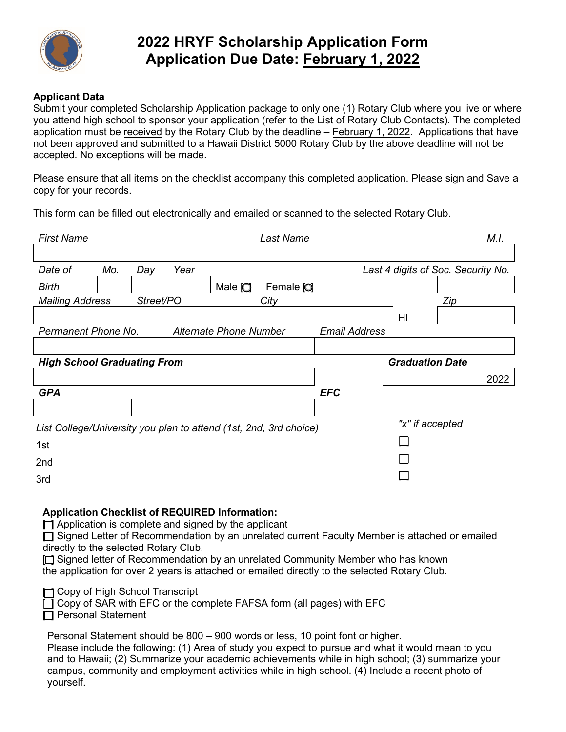

## **2022 HRYF Scholarship Application Form Application Due Date: February 1, 2022**

#### **Applicant Data**

Submit your completed Scholarship Application package to only one (1) Rotary Club where you live or where you attend high school to sponsor your application (refer to the List of Rotary Club Contacts). The completed application must be received by the Rotary Club by the deadline – February 1, 2022. Applications that have not been approved and submitted to a Hawaii District 5000 Rotary Club by the above deadline will not be accepted. No exceptions will be made.

Please ensure that all items on the checklist accompany this completed application. Please sign and Save a copy for your records.

This form can be filled out electronically and emailed or scanned to the selected Rotary Club.

| <b>First Name</b>                  |     |           |      |                        | <b>Last Name</b>                                                  |                      |                                    |     | M.I. |
|------------------------------------|-----|-----------|------|------------------------|-------------------------------------------------------------------|----------------------|------------------------------------|-----|------|
|                                    |     |           |      |                        |                                                                   |                      |                                    |     |      |
| Date of                            | Mo. | Day       | Year |                        |                                                                   |                      | Last 4 digits of Soc. Security No. |     |      |
| Birth                              |     |           |      | Male $\bigcirc$        | Female O                                                          |                      |                                    |     |      |
| <b>Mailing Address</b>             |     | Street/PO |      |                        | City                                                              |                      |                                    | Zip |      |
|                                    |     |           |      |                        |                                                                   |                      | HI                                 |     |      |
| Permanent Phone No.                |     |           |      | Alternate Phone Number |                                                                   | <b>Email Address</b> |                                    |     |      |
|                                    |     |           |      |                        |                                                                   |                      |                                    |     |      |
| <b>High School Graduating From</b> |     |           |      |                        |                                                                   |                      | <b>Graduation Date</b>             |     |      |
|                                    |     |           |      |                        |                                                                   |                      |                                    |     | 2022 |
| <b>GPA</b>                         |     |           |      |                        |                                                                   | <b>EFC</b>           |                                    |     |      |
|                                    |     |           |      |                        |                                                                   |                      |                                    |     |      |
|                                    |     |           |      |                        | List College/University you plan to attend (1st, 2nd, 3rd choice) |                      | "x" if accepted                    |     |      |
| 1st                                |     |           |      |                        |                                                                   |                      |                                    |     |      |
| 2 <sub>nd</sub>                    |     |           |      |                        |                                                                   |                      |                                    |     |      |
| 3rd                                |     |           |      |                        |                                                                   |                      |                                    |     |      |

#### **Application Checklist of REQUIRED Information:**

 $\Box$  Application is complete and signed by the applicant

[ ] Signed Letter of Recommendation by an unrelated current Faculty Member is attached or emailed directly to the selected Rotary Club.

□ Signed letter of Recommendation by an unrelated Community Member who has known the application for over 2 years is attached or emailed directly to the selected Rotary Club.

**[ ] Copy of High School Transcript** 

 $\Box$  Copy of SAR with EFC or the complete FAFSA form (all pages) with EFC

 $\Box$  Personal Statement

Personal Statement should be 800 – 900 words or less, 10 point font or higher.

Please include the following: (1) Area of study you expect to pursue and what it would mean to you and to Hawaii; (2) Summarize your academic achievements while in high school; (3) summarize your campus, community and employment activities while in high school. (4) Include a recent photo of yourself.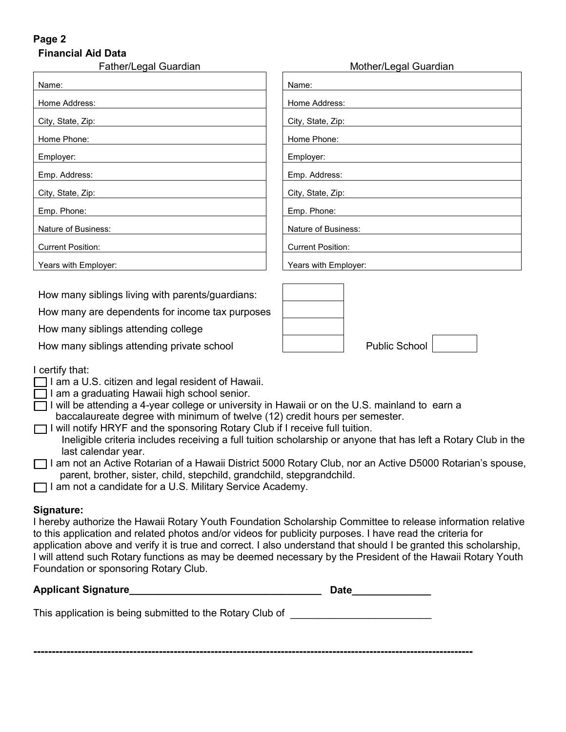#### **Page 2 Financial Aid Data**

| Father/Legal Guardian    | Mot                      |
|--------------------------|--------------------------|
| Name:                    | Name:                    |
| Home Address:            | Home Address:            |
| City, State, Zip:        | City, State, Zip:        |
| Home Phone:              | Home Phone:              |
| Employer:                | Employer:                |
| Emp. Address:            | Emp. Address:            |
| City, State, Zip:        | City, State, Zip:        |
| Emp. Phone:              | Emp. Phone:              |
| Nature of Business:      | Nature of Business:      |
| <b>Current Position:</b> | <b>Current Position:</b> |
| Years with Employer:     | Years with Employer:     |

How many siblings living with parents/guardians:

How many are dependents for income tax purposes

How many siblings attending college

How many siblings attending private school

| Name:                    |
|--------------------------|
| Home Address:            |
| City, State, Zip:        |
| Home Phone:              |
| Employer:                |
| Emp. Address:            |
| City, State, Zip:        |
| Emp. Phone:              |
| Nature of Business:      |
| <b>Current Position:</b> |
| Years with Employer:     |

Mother/Legal Guardian

| Public School |  |
|---------------|--|
|               |  |

### I certify that:

- $\Box$  I am a U.S. citizen and legal resident of Hawaii.
- $\Box$  I am a graduating Hawaii high school senior.
- $\Box$  I will be attending a 4-year college or university in Hawaii or on the U.S. mainland to earn a baccalaureate degree with minimum of twelve (12) credit hours per semester.
- I will notify HRYF and the sponsoring Rotary Club if I receive full tuition. Ineligible criteria includes receiving a full tuition scholarship or anyone that has left a Rotary Club in the last calendar year.
- [ ] I am not an Active Rotarian of a Hawaii District 5000 Rotary Club, nor an Active D5000 Rotarian's spouse, parent, brother, sister, child, stepchild, grandchild, stepgrandchild.
- □ I am not a candidate for a U.S. Military Service Academy.

### **Signature:**

**-**

I hereby authorize the Hawaii Rotary Youth Foundation Scholarship Committee to release information relative to this application and related photos and/or videos for publicity purposes. I have read the criteria for application above and verify it is true and correct. I also understand that should I be granted this scholarship, I will attend such Rotary functions as may be deemed necessary by the President of the Hawaii Rotary Youth Foundation or sponsoring Rotary Club.

| <b>Applicant Signature</b>                                | Date |  |
|-----------------------------------------------------------|------|--|
| This application is being submitted to the Rotary Club of |      |  |

**----------------------------------------------------------------------------------------------------------------------**